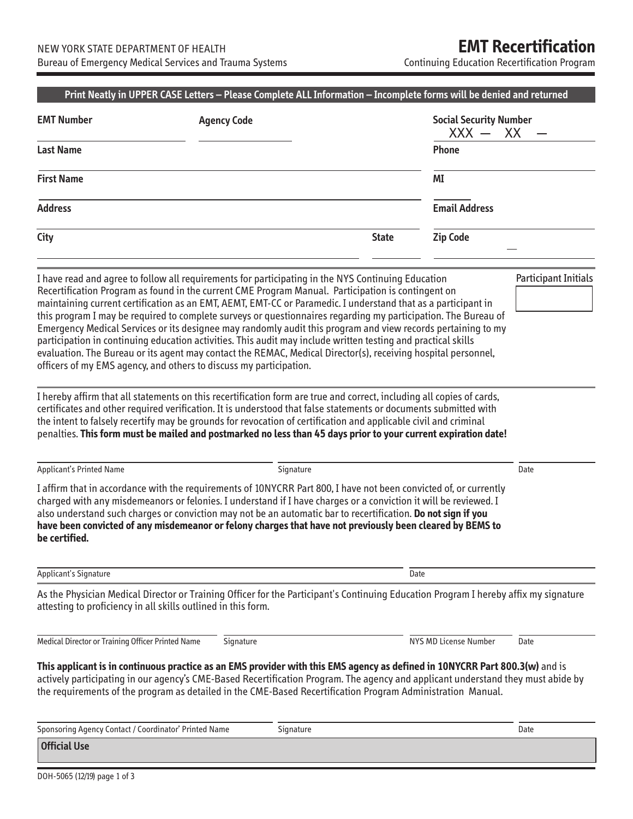Continuing Education Recertification Program

|                                                               | <b>Agency Code</b>                                                                                                                                                                                                                                                                                                                                                                                                                                                                                                                                                                                                                                                                                                                                                                                                                                                                                                                                                                                                                                                                                                                                                                                                                                                                                                                                     |              | <b>Social Security Number</b><br>XX<br>$XXX -$ |                             |  |
|---------------------------------------------------------------|--------------------------------------------------------------------------------------------------------------------------------------------------------------------------------------------------------------------------------------------------------------------------------------------------------------------------------------------------------------------------------------------------------------------------------------------------------------------------------------------------------------------------------------------------------------------------------------------------------------------------------------------------------------------------------------------------------------------------------------------------------------------------------------------------------------------------------------------------------------------------------------------------------------------------------------------------------------------------------------------------------------------------------------------------------------------------------------------------------------------------------------------------------------------------------------------------------------------------------------------------------------------------------------------------------------------------------------------------------|--------------|------------------------------------------------|-----------------------------|--|
| <b>Last Name</b>                                              |                                                                                                                                                                                                                                                                                                                                                                                                                                                                                                                                                                                                                                                                                                                                                                                                                                                                                                                                                                                                                                                                                                                                                                                                                                                                                                                                                        |              | <b>Phone</b>                                   |                             |  |
| <b>First Name</b>                                             |                                                                                                                                                                                                                                                                                                                                                                                                                                                                                                                                                                                                                                                                                                                                                                                                                                                                                                                                                                                                                                                                                                                                                                                                                                                                                                                                                        |              | ΜI                                             |                             |  |
| <b>Address</b>                                                |                                                                                                                                                                                                                                                                                                                                                                                                                                                                                                                                                                                                                                                                                                                                                                                                                                                                                                                                                                                                                                                                                                                                                                                                                                                                                                                                                        |              | <b>Email Address</b>                           |                             |  |
| City                                                          |                                                                                                                                                                                                                                                                                                                                                                                                                                                                                                                                                                                                                                                                                                                                                                                                                                                                                                                                                                                                                                                                                                                                                                                                                                                                                                                                                        | <b>State</b> | <b>Zip Code</b>                                |                             |  |
|                                                               | I have read and agree to follow all requirements for participating in the NYS Continuing Education<br>Recertification Program as found in the current CME Program Manual. Participation is contingent on<br>maintaining current certification as an EMT, AEMT, EMT-CC or Paramedic. I understand that as a participant in<br>this program I may be required to complete surveys or questionnaires regarding my participation. The Bureau of<br>Emergency Medical Services or its designee may randomly audit this program and view records pertaining to my<br>participation in continuing education activities. This audit may include written testing and practical skills<br>evaluation. The Bureau or its agent may contact the REMAC, Medical Director(s), receiving hospital personnel,<br>officers of my EMS agency, and others to discuss my participation.<br>I hereby affirm that all statements on this recertification form are true and correct, including all copies of cards,<br>certificates and other required verification. It is understood that false statements or documents submitted with<br>the intent to falsely recertify may be grounds for revocation of certification and applicable civil and criminal<br>penalties. This form must be mailed and postmarked no less than 45 days prior to your current expiration date! |              |                                                | <b>Participant Initials</b> |  |
|                                                               |                                                                                                                                                                                                                                                                                                                                                                                                                                                                                                                                                                                                                                                                                                                                                                                                                                                                                                                                                                                                                                                                                                                                                                                                                                                                                                                                                        |              |                                                |                             |  |
| Applicant's Printed Name                                      | Signature                                                                                                                                                                                                                                                                                                                                                                                                                                                                                                                                                                                                                                                                                                                                                                                                                                                                                                                                                                                                                                                                                                                                                                                                                                                                                                                                              |              |                                                | Date                        |  |
| be certified.                                                 | I affirm that in accordance with the requirements of 10NYCRR Part 800, I have not been convicted of, or currently<br>charged with any misdemeanors or felonies. I understand if I have charges or a conviction it will be reviewed. I<br>also understand such charges or conviction may not be an automatic bar to recertification. Do not sign if you<br>have been convicted of any misdemeanor or felony charges that have not previously been cleared by BEMS to                                                                                                                                                                                                                                                                                                                                                                                                                                                                                                                                                                                                                                                                                                                                                                                                                                                                                    |              |                                                |                             |  |
| <b>Applicant's Signature</b>                                  |                                                                                                                                                                                                                                                                                                                                                                                                                                                                                                                                                                                                                                                                                                                                                                                                                                                                                                                                                                                                                                                                                                                                                                                                                                                                                                                                                        |              | Date                                           |                             |  |
| attesting to proficiency in all skills outlined in this form. | As the Physician Medical Director or Training Officer for the Participant's Continuing Education Program I hereby affix my signature                                                                                                                                                                                                                                                                                                                                                                                                                                                                                                                                                                                                                                                                                                                                                                                                                                                                                                                                                                                                                                                                                                                                                                                                                   |              |                                                |                             |  |
| Medical Director or Training Officer Printed Name             | Signature                                                                                                                                                                                                                                                                                                                                                                                                                                                                                                                                                                                                                                                                                                                                                                                                                                                                                                                                                                                                                                                                                                                                                                                                                                                                                                                                              |              | NYS MD License Number                          | Date                        |  |
|                                                               | This applicant is in continuous practice as an EMS provider with this EMS agency as defined in 10NYCRR Part 800.3(w) and is<br>actively participating in our agency's CME-Based Recertification Program. The agency and applicant understand they must abide by<br>the requirements of the program as detailed in the CME-Based Recertification Program Administration Manual.                                                                                                                                                                                                                                                                                                                                                                                                                                                                                                                                                                                                                                                                                                                                                                                                                                                                                                                                                                         |              |                                                |                             |  |
| Sponsoring Agency Contact / Coordinator' Printed Name         | Signature                                                                                                                                                                                                                                                                                                                                                                                                                                                                                                                                                                                                                                                                                                                                                                                                                                                                                                                                                                                                                                                                                                                                                                                                                                                                                                                                              |              |                                                | Date                        |  |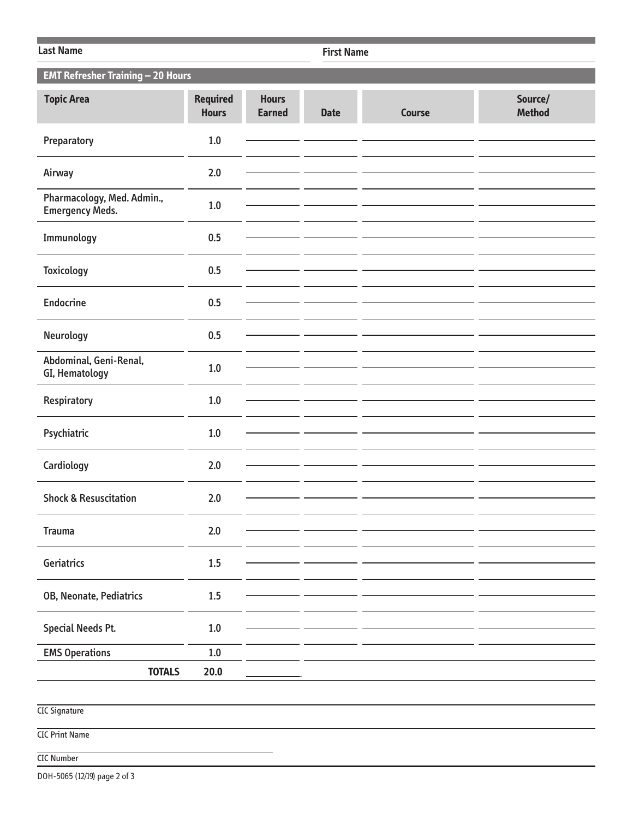| <b>Last Name</b>                                     |                                 |                               | <b>First Name</b> |               |                          |  |  |
|------------------------------------------------------|---------------------------------|-------------------------------|-------------------|---------------|--------------------------|--|--|
| <b>EMT Refresher Training - 20 Hours</b>             |                                 |                               |                   |               |                          |  |  |
| <b>Topic Area</b>                                    | <b>Required</b><br><b>Hours</b> | <b>Hours</b><br><b>Earned</b> | <b>Date</b>       | <b>Course</b> | Source/<br><b>Method</b> |  |  |
| Preparatory                                          | $1.0$                           |                               |                   |               |                          |  |  |
| Airway                                               | 2.0                             |                               |                   |               |                          |  |  |
| Pharmacology, Med. Admin.,<br><b>Emergency Meds.</b> | $1.0$                           |                               |                   |               |                          |  |  |
| Immunology                                           | 0.5                             |                               |                   |               |                          |  |  |
| <b>Toxicology</b>                                    | 0.5                             |                               |                   |               |                          |  |  |
| <b>Endocrine</b>                                     | 0.5                             |                               |                   |               |                          |  |  |
| Neurology                                            | 0.5                             |                               |                   |               |                          |  |  |
| Abdominal, Geni-Renal,<br>GI, Hematology             | 1.0                             |                               |                   |               |                          |  |  |
| Respiratory                                          | $1.0\,$                         |                               |                   |               |                          |  |  |
| Psychiatric                                          | 1.0                             |                               |                   |               |                          |  |  |
| Cardiology                                           | 2.0                             |                               |                   |               |                          |  |  |
| <b>Shock &amp; Resuscitation</b>                     | 2.0                             |                               |                   |               |                          |  |  |
| <b>Trauma</b>                                        | 2.0                             |                               |                   |               |                          |  |  |
|                                                      |                                 |                               |                   |               |                          |  |  |
| Geriatrics                                           | 1.5                             |                               |                   |               |                          |  |  |
| OB, Neonate, Pediatrics                              | $1.5\,$                         |                               |                   |               |                          |  |  |
| <b>Special Needs Pt.</b>                             | $1.0\,$                         |                               |                   |               |                          |  |  |
| <b>EMS Operations</b>                                | $1.0\,$                         |                               |                   |               |                          |  |  |
| <b>TOTALS</b>                                        | $20.0$                          |                               |                   |               |                          |  |  |
| <b>CIC Signature</b>                                 |                                 |                               |                   |               |                          |  |  |

CIC Print Name

## CIC Number

DOH-5065 (12/19) page 2 of 3